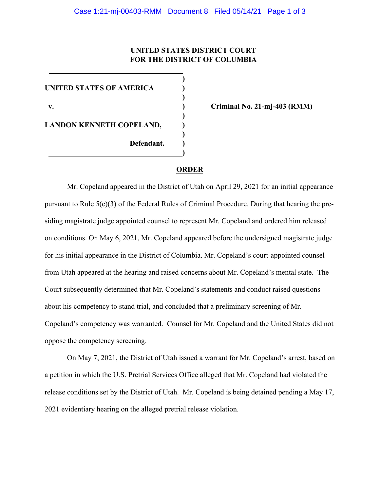## **UNITED STATES DISTRICT COURT FOR THE DISTRICT OF COLUMBIA**

**)**

**)**

 **)**

**)**

**)**

**UNITED STATES OF AMERICA ) v. ) Criminal No. 21-mj-403 (RMM) LANDON KENNETH COPELAND, ) Defendant. )**

## **ORDER**

Mr. Copeland appeared in the District of Utah on April 29, 2021 for an initial appearance pursuant to Rule  $5(c)(3)$  of the Federal Rules of Criminal Procedure. During that hearing the presiding magistrate judge appointed counsel to represent Mr. Copeland and ordered him released on conditions. On May 6, 2021, Mr. Copeland appeared before the undersigned magistrate judge for his initial appearance in the District of Columbia. Mr. Copeland's court-appointed counsel from Utah appeared at the hearing and raised concerns about Mr. Copeland's mental state. The Court subsequently determined that Mr. Copeland's statements and conduct raised questions about his competency to stand trial, and concluded that a preliminary screening of Mr. Copeland's competency was warranted. Counsel for Mr. Copeland and the United States did not oppose the competency screening.

On May 7, 2021, the District of Utah issued a warrant for Mr. Copeland's arrest, based on a petition in which the U.S. Pretrial Services Office alleged that Mr. Copeland had violated the release conditions set by the District of Utah. Mr. Copeland is being detained pending a May 17, 2021 evidentiary hearing on the alleged pretrial release violation.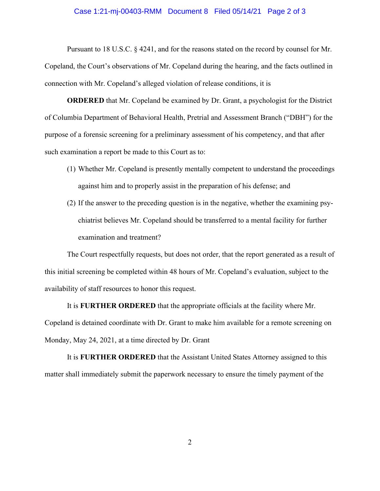## Case 1:21-mj-00403-RMM Document 8 Filed 05/14/21 Page 2 of 3

Pursuant to 18 U.S.C. § 4241, and for the reasons stated on the record by counsel for Mr. Copeland, the Court's observations of Mr. Copeland during the hearing, and the facts outlined in connection with Mr. Copeland's alleged violation of release conditions, it is

**ORDERED** that Mr. Copeland be examined by Dr. Grant, a psychologist for the District of Columbia Department of Behavioral Health, Pretrial and Assessment Branch ("DBH") for the purpose of a forensic screening for a preliminary assessment of his competency, and that after such examination a report be made to this Court as to:

- (1) Whether Mr. Copeland is presently mentally competent to understand the proceedings against him and to properly assist in the preparation of his defense; and
- (2) If the answer to the preceding question is in the negative, whether the examining psychiatrist believes Mr. Copeland should be transferred to a mental facility for further examination and treatment?

The Court respectfully requests, but does not order, that the report generated as a result of this initial screening be completed within 48 hours of Mr. Copeland's evaluation, subject to the availability of staff resources to honor this request.

It is **FURTHER ORDERED** that the appropriate officials at the facility where Mr. Copeland is detained coordinate with Dr. Grant to make him available for a remote screening on Monday, May 24, 2021, at a time directed by Dr. Grant

It is **FURTHER ORDERED** that the Assistant United States Attorney assigned to this matter shall immediately submit the paperwork necessary to ensure the timely payment of the